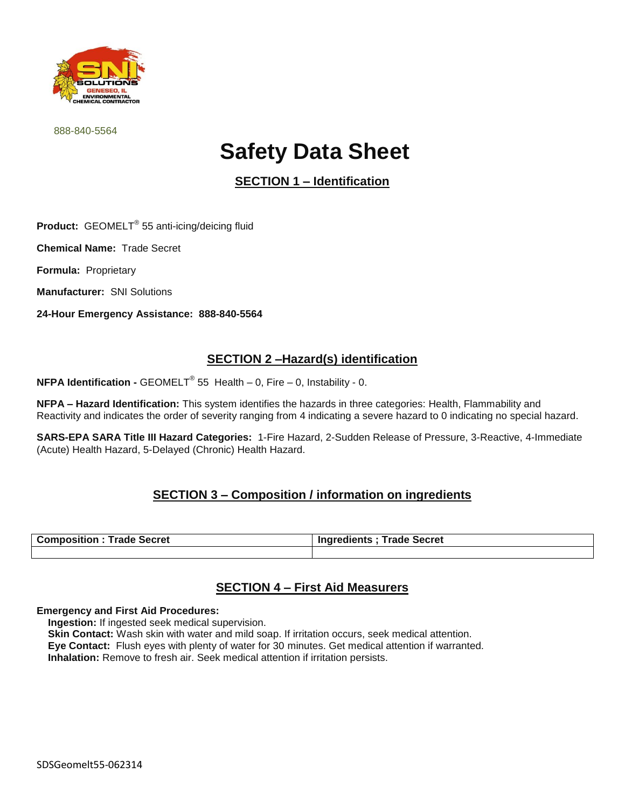

888-840-5564

# **Safety Data Sheet**

**SECTION 1 – Identification**

**Product:** GEOMELT® 55 anti-icing/deicing fluid

**Chemical Name:** Trade Secret

**Formula:** Proprietary

**Manufacturer:** SNI Solutions

**24-Hour Emergency Assistance: 888-840-5564**

### **SECTION 2 –Hazard(s) identification**

**NFPA Identification -** GEOMELT® 55 Health – 0, Fire – 0, Instability - 0.

**NFPA – Hazard Identification:** This system identifies the hazards in three categories: Health, Flammability and Reactivity and indicates the order of severity ranging from 4 indicating a severe hazard to 0 indicating no special hazard.

**SARS-EPA SARA Title III Hazard Categories:** 1-Fire Hazard, 2-Sudden Release of Pressure, 3-Reactive, 4-Immediate (Acute) Health Hazard, 5-Delayed (Chronic) Health Hazard.

### **SECTION 3 – Composition / information on ingredients**

| <b>Composition: Trade Secret</b> | <b>Trade Secret</b><br><b>Ingredients :</b> |
|----------------------------------|---------------------------------------------|
|                                  |                                             |

# **SECTION 4 – First Aid Measurers**

#### **Emergency and First Aid Procedures:**

 **Ingestion:** If ingested seek medical supervision.

**Skin Contact:** Wash skin with water and mild soap. If irritation occurs, seek medical attention.

**Eye Contact:** Flush eyes with plenty of water for 30 minutes. Get medical attention if warranted.

**Inhalation:** Remove to fresh air. Seek medical attention if irritation persists.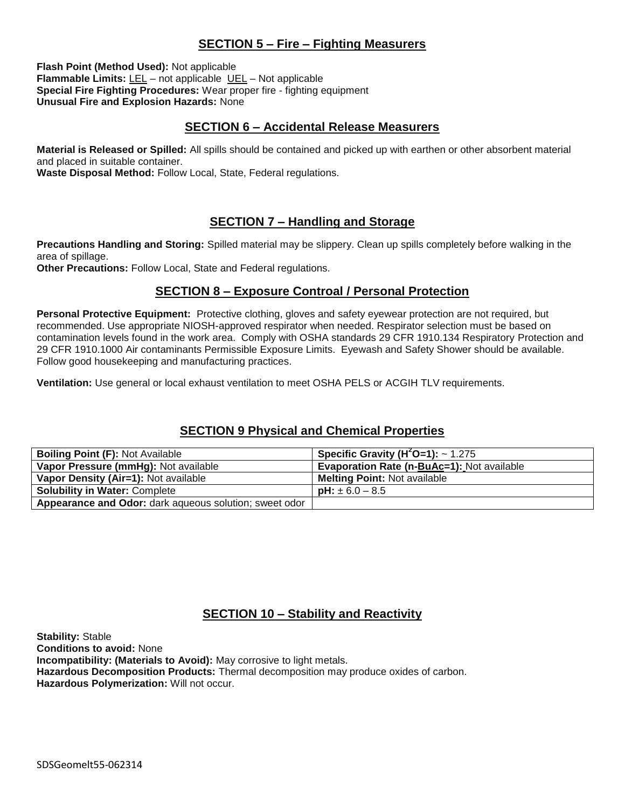### **SECTION 5 – Fire – Fighting Measurers**

**Flash Point (Method Used):** Not applicable **Flammable Limits:** LEL – not applicable UEL – Not applicable **Special Fire Fighting Procedures:** Wear proper fire - fighting equipment **Unusual Fire and Explosion Hazards:** None

#### **SECTION 6 – Accidental Release Measurers**

**Material is Released or Spilled:** All spills should be contained and picked up with earthen or other absorbent material and placed in suitable container.

**Waste Disposal Method:** Follow Local, State, Federal regulations.

## **SECTION 7 – Handling and Storage**

**Precautions Handling and Storing:** Spilled material may be slippery. Clean up spills completely before walking in the area of spillage.

**Other Precautions:** Follow Local, State and Federal regulations.

#### **SECTION 8 – Exposure Controal / Personal Protection**

**Personal Protective Equipment:** Protective clothing, gloves and safety eyewear protection are not required, but recommended. Use appropriate NIOSH-approved respirator when needed. Respirator selection must be based on contamination levels found in the work area. Comply with OSHA standards 29 CFR 1910.134 Respiratory Protection and 29 CFR 1910.1000 Air contaminants Permissible Exposure Limits. Eyewash and Safety Shower should be available. Follow good housekeeping and manufacturing practices.

**Ventilation:** Use general or local exhaust ventilation to meet OSHA PELS or ACGIH TLV requirements.

### **SECTION 9 Physical and Chemical Properties**

| <b>Boiling Point (F): Not Available</b>                | Specific Gravity ( $H^2O=1$ ): ~ 1.275            |
|--------------------------------------------------------|---------------------------------------------------|
| Vapor Pressure (mmHg): Not available                   | <b>Evaporation Rate (n-BuAc=1): Not available</b> |
| Vapor Density (Air=1): Not available                   | <b>Melting Point: Not available</b>               |
| <b>Solubility in Water: Complete</b>                   | <b>pH:</b> $\pm 6.0 - 8.5$                        |
| Appearance and Odor: dark aqueous solution; sweet odor |                                                   |

### **SECTION 10 – Stability and Reactivity**

**Stability:** Stable **Conditions to avoid:** None **Incompatibility: (Materials to Avoid):** May corrosive to light metals. **Hazardous Decomposition Products:** Thermal decomposition may produce oxides of carbon. **Hazardous Polymerization:** Will not occur.